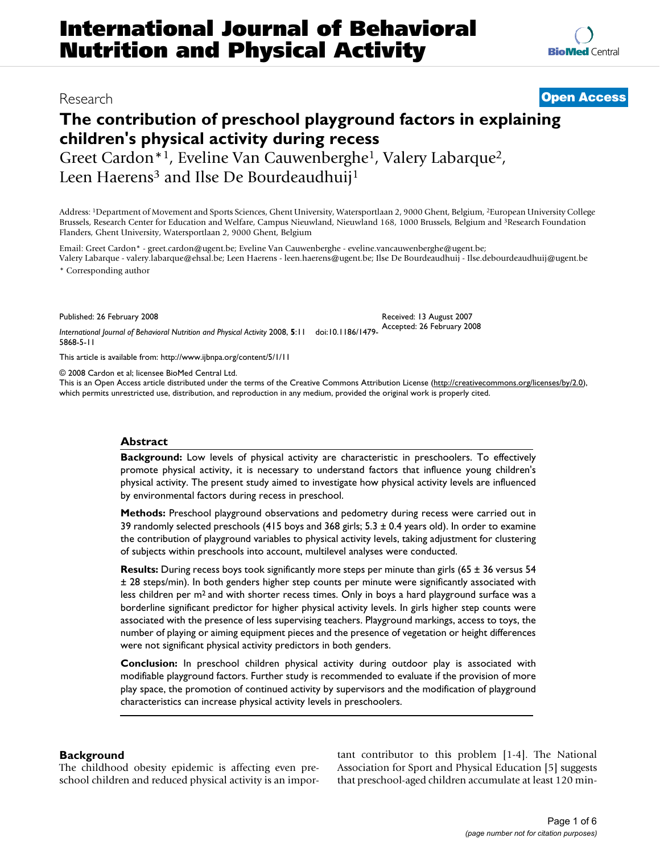# Research **[Open Access](http://www.biomedcentral.com/info/about/charter/)**

# **The contribution of preschool playground factors in explaining children's physical activity during recess**

Greet Cardon\*1, Eveline Van Cauwenberghe1, Valery Labarque2, Leen Haerens<sup>3</sup> and Ilse De Bourdeaudhuij<sup>1</sup>

Address: 1Department of Movement and Sports Sciences, Ghent University, Watersportlaan 2, 9000 Ghent, Belgium, 2European University College Brussels, Research Center for Education and Welfare, Campus Nieuwland, Nieuwland 168, 1000 Brussels, Belgium and 3Research Foundation Flanders, Ghent University, Watersportlaan 2, 9000 Ghent, Belgium

Email: Greet Cardon\* - greet.cardon@ugent.be; Eveline Van Cauwenberghe - eveline.vancauwenberghe@ugent.be; Valery Labarque - valery.labarque@ehsal.be; Leen Haerens - leen.haerens@ugent.be; Ilse De Bourdeaudhuij - Ilse.debourdeaudhuij@ugent.be \* Corresponding author

Published: 26 February 2008

5868-5-11

*International Journal of Behavioral Nutrition and Physical Activity* 2008, **5**:11 doi:10.1186/1479- Accepted: 26 February 2008 Received: 13 August 2007

[This article is available from: http://www.ijbnpa.org/content/5/1/11](http://www.ijbnpa.org/content/5/1/11)

© 2008 Cardon et al; licensee BioMed Central Ltd.

This is an Open Access article distributed under the terms of the Creative Commons Attribution License [\(http://creativecommons.org/licenses/by/2.0\)](http://creativecommons.org/licenses/by/2.0), which permits unrestricted use, distribution, and reproduction in any medium, provided the original work is properly cited.

#### **Abstract**

**Background:** Low levels of physical activity are characteristic in preschoolers. To effectively promote physical activity, it is necessary to understand factors that influence young children's physical activity. The present study aimed to investigate how physical activity levels are influenced by environmental factors during recess in preschool.

**Methods:** Preschool playground observations and pedometry during recess were carried out in 39 randomly selected preschools (415 boys and 368 girls;  $5.3 \pm 0.4$  years old). In order to examine the contribution of playground variables to physical activity levels, taking adjustment for clustering of subjects within preschools into account, multilevel analyses were conducted.

**Results:** During recess boys took significantly more steps per minute than girls (65 ± 36 versus 54 ± 28 steps/min). In both genders higher step counts per minute were significantly associated with less children per m<sup>2</sup> and with shorter recess times. Only in boys a hard playground surface was a borderline significant predictor for higher physical activity levels. In girls higher step counts were associated with the presence of less supervising teachers. Playground markings, access to toys, the number of playing or aiming equipment pieces and the presence of vegetation or height differences were not significant physical activity predictors in both genders.

**Conclusion:** In preschool children physical activity during outdoor play is associated with modifiable playground factors. Further study is recommended to evaluate if the provision of more play space, the promotion of continued activity by supervisors and the modification of playground characteristics can increase physical activity levels in preschoolers.

# **Background**

The childhood obesity epidemic is affecting even preschool children and reduced physical activity is an important contributor to this problem [1-4]. The National Association for Sport and Physical Education [5] suggests that preschool-aged children accumulate at least 120 min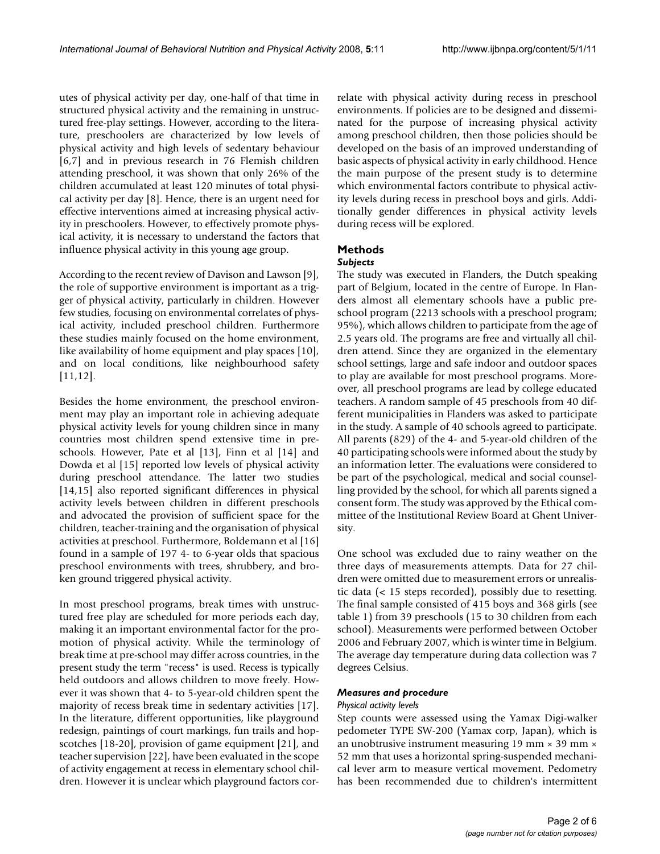utes of physical activity per day, one-half of that time in structured physical activity and the remaining in unstructured free-play settings. However, according to the literature, preschoolers are characterized by low levels of physical activity and high levels of sedentary behaviour [6,7] and in previous research in 76 Flemish children attending preschool, it was shown that only 26% of the children accumulated at least 120 minutes of total physical activity per day [8]. Hence, there is an urgent need for effective interventions aimed at increasing physical activity in preschoolers. However, to effectively promote physical activity, it is necessary to understand the factors that influence physical activity in this young age group.

According to the recent review of Davison and Lawson [9], the role of supportive environment is important as a trigger of physical activity, particularly in children. However few studies, focusing on environmental correlates of physical activity, included preschool children. Furthermore these studies mainly focused on the home environment, like availability of home equipment and play spaces [10], and on local conditions, like neighbourhood safety [11,12].

Besides the home environment, the preschool environment may play an important role in achieving adequate physical activity levels for young children since in many countries most children spend extensive time in preschools. However, Pate et al [13], Finn et al [14] and Dowda et al [15] reported low levels of physical activity during preschool attendance. The latter two studies [14,15] also reported significant differences in physical activity levels between children in different preschools and advocated the provision of sufficient space for the children, teacher-training and the organisation of physical activities at preschool. Furthermore, Boldemann et al [16] found in a sample of 197 4- to 6-year olds that spacious preschool environments with trees, shrubbery, and broken ground triggered physical activity.

In most preschool programs, break times with unstructured free play are scheduled for more periods each day, making it an important environmental factor for the promotion of physical activity. While the terminology of break time at pre-school may differ across countries, in the present study the term "recess" is used. Recess is typically held outdoors and allows children to move freely. However it was shown that 4- to 5-year-old children spent the majority of recess break time in sedentary activities [17]. In the literature, different opportunities, like playground redesign, paintings of court markings, fun trails and hopscotches [18-20], provision of game equipment [21], and teacher supervision [22], have been evaluated in the scope of activity engagement at recess in elementary school children. However it is unclear which playground factors correlate with physical activity during recess in preschool environments. If policies are to be designed and disseminated for the purpose of increasing physical activity among preschool children, then those policies should be developed on the basis of an improved understanding of basic aspects of physical activity in early childhood. Hence the main purpose of the present study is to determine which environmental factors contribute to physical activity levels during recess in preschool boys and girls. Additionally gender differences in physical activity levels during recess will be explored.

# **Methods**

# *Subjects*

The study was executed in Flanders, the Dutch speaking part of Belgium, located in the centre of Europe. In Flanders almost all elementary schools have a public preschool program (2213 schools with a preschool program; 95%), which allows children to participate from the age of 2.5 years old. The programs are free and virtually all children attend. Since they are organized in the elementary school settings, large and safe indoor and outdoor spaces to play are available for most preschool programs. Moreover, all preschool programs are lead by college educated teachers. A random sample of 45 preschools from 40 different municipalities in Flanders was asked to participate in the study. A sample of 40 schools agreed to participate. All parents (829) of the 4- and 5-year-old children of the 40 participating schools were informed about the study by an information letter. The evaluations were considered to be part of the psychological, medical and social counselling provided by the school, for which all parents signed a consent form. The study was approved by the Ethical committee of the Institutional Review Board at Ghent University.

One school was excluded due to rainy weather on the three days of measurements attempts. Data for 27 children were omitted due to measurement errors or unrealistic data (< 15 steps recorded), possibly due to resetting. The final sample consisted of 415 boys and 368 girls (see table 1) from 39 preschools (15 to 30 children from each school). Measurements were performed between October 2006 and February 2007, which is winter time in Belgium. The average day temperature during data collection was 7 degrees Celsius.

# *Measures and procedure*

#### *Physical activity levels*

Step counts were assessed using the Yamax Digi-walker pedometer TYPE SW-200 (Yamax corp, Japan), which is an unobtrusive instrument measuring 19 mm × 39 mm × 52 mm that uses a horizontal spring-suspended mechanical lever arm to measure vertical movement. Pedometry has been recommended due to children's intermittent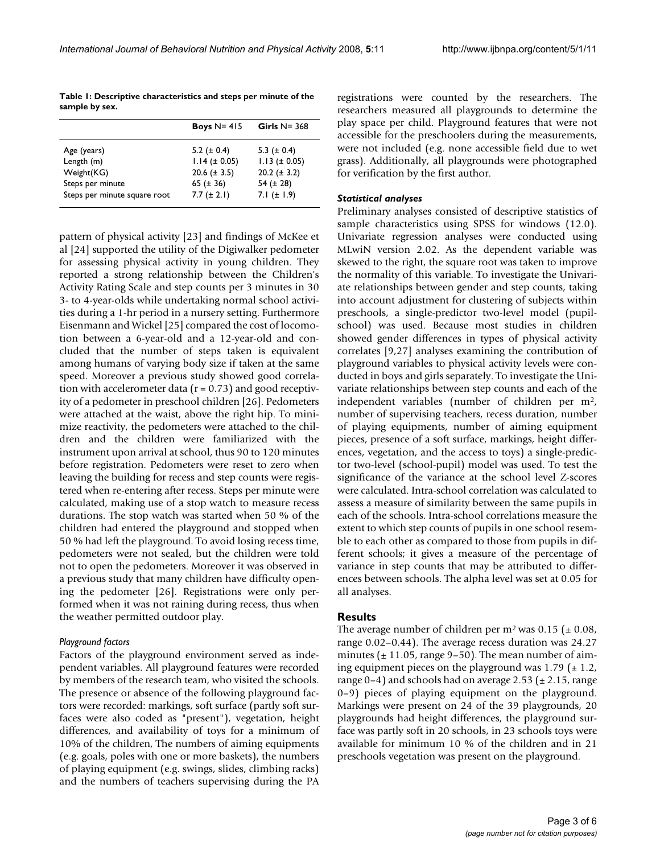**Table 1: Descriptive characteristics and steps per minute of the sample by sex.**

|                              | Boys $N = 415$    | Girls $N = 368$   |
|------------------------------|-------------------|-------------------|
| Age (years)                  | 5.2 ( $\pm$ 0.4)  | 5.3 ( $\pm$ 0.4)  |
| Length (m)                   | $1.14 (\pm 0.05)$ | $1.13 (\pm 0.05)$ |
| Weight(KG)                   | $20.6 (\pm 3.5)$  | $20.2 (\pm 3.2)$  |
| Steps per minute             | 65 ( $\pm$ 36)    | 54 $(\pm 28)$     |
| Steps per minute square root | 7.7 $(\pm 2.1)$   | 7.1 $(\pm 1.9)$   |

pattern of physical activity [23] and findings of McKee et al [24] supported the utility of the Digiwalker pedometer for assessing physical activity in young children. They reported a strong relationship between the Children's Activity Rating Scale and step counts per 3 minutes in 30 3- to 4-year-olds while undertaking normal school activities during a 1-hr period in a nursery setting. Furthermore Eisenmann and Wickel [25] compared the cost of locomotion between a 6-year-old and a 12-year-old and concluded that the number of steps taken is equivalent among humans of varying body size if taken at the same speed. Moreover a previous study showed good correlation with accelerometer data ( $r = 0.73$ ) and good receptivity of a pedometer in preschool children [[26\]](#page-5-0). Pedometers were attached at the waist, above the right hip. To minimize reactivity, the pedometers were attached to the children and the children were familiarized with the instrument upon arrival at school, thus 90 to 120 minutes before registration. Pedometers were reset to zero when leaving the building for recess and step counts were registered when re-entering after recess. Steps per minute were calculated, making use of a stop watch to measure recess durations. The stop watch was started when 50 % of the children had entered the playground and stopped when 50 % had left the playground. To avoid losing recess time, pedometers were not sealed, but the children were told not to open the pedometers. Moreover it was observed in a previous study that many children have difficulty opening the pedometer [[26](#page-5-0)]. Registrations were only performed when it was not raining during recess, thus when the weather permitted outdoor play.

#### *Playground factors*

Factors of the playground environment served as independent variables. All playground features were recorded by members of the research team, who visited the schools. The presence or absence of the following playground factors were recorded: markings, soft surface (partly soft surfaces were also coded as "present"), vegetation, height differences, and availability of toys for a minimum of 10% of the children, The numbers of aiming equipments (e.g. goals, poles with one or more baskets), the numbers of playing equipment (e.g. swings, slides, climbing racks) and the numbers of teachers supervising during the PA registrations were counted by the researchers. The researchers measured all playgrounds to determine the play space per child. Playground features that were not accessible for the preschoolers during the measurements, were not included (e.g. none accessible field due to wet grass). Additionally, all playgrounds were photographed for verification by the first author.

#### *Statistical analyses*

Preliminary analyses consisted of descriptive statistics of sample characteristics using SPSS for windows (12.0). Univariate regression analyses were conducted using MLwiN version 2.02. As the dependent variable was skewed to the right, the square root was taken to improve the normality of this variable. To investigate the Univariate relationships between gender and step counts, taking into account adjustment for clustering of subjects within preschools, a single-predictor two-level model (pupilschool) was used. Because most studies in children showed gender differences in types of physical activity correlates [9,27] analyses examining the contribution of playground variables to physical activity levels were conducted in boys and girls separately. To investigate the Univariate relationships between step counts and each of the independent variables (number of children per m2, number of supervising teachers, recess duration, number of playing equipments, number of aiming equipment pieces, presence of a soft surface, markings, height differences, vegetation, and the access to toys) a single-predictor two-level (school-pupil) model was used. To test the significance of the variance at the school level Z-scores were calculated. Intra-school correlation was calculated to assess a measure of similarity between the same pupils in each of the schools. Intra-school correlations measure the extent to which step counts of pupils in one school resemble to each other as compared to those from pupils in different schools; it gives a measure of the percentage of variance in step counts that may be attributed to differences between schools. The alpha level was set at 0.05 for all analyses.

#### **Results**

The average number of children per m<sup>2</sup> was  $0.15$  ( $\pm$  0.08, range 0.02–0.44). The average recess duration was 24.27 minutes ( $\pm$  11.05, range 9-50). The mean number of aiming equipment pieces on the playground was 1.79 ( $\pm$  1.2, range 0–4) and schools had on average 2.53 ( $\pm$  2.15, range 0–9) pieces of playing equipment on the playground. Markings were present on 24 of the 39 playgrounds, 20 playgrounds had height differences, the playground surface was partly soft in 20 schools, in 23 schools toys were available for minimum 10 % of the children and in 21 preschools vegetation was present on the playground.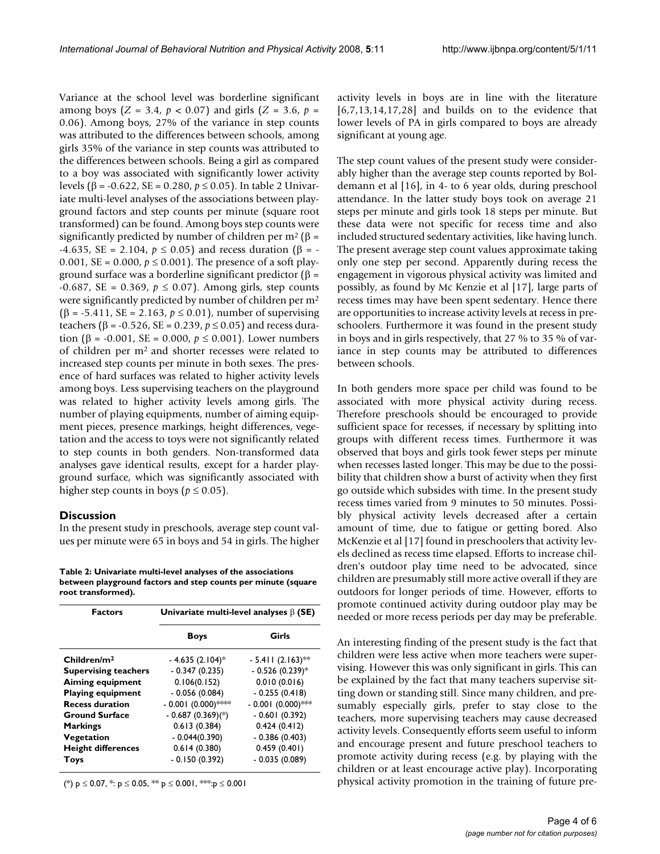Variance at the school level was borderline significant among boys (*Z* = 3.4, *p* < 0.07) and girls (*Z* = 3.6, *p* = 0.06). Among boys, 27% of the variance in step counts was attributed to the differences between schools, among girls 35% of the variance in step counts was attributed to the differences between schools. Being a girl as compared to a boy was associated with significantly lower activity levels (β = -0.622, SE = 0.280, *p* ≤ 0.05). In table 2 Univariate multi-level analyses of the associations between playground factors and step counts per minute (square root transformed) can be found. Among boys step counts were significantly predicted by number of children per m<sup>2</sup> ( $\beta$  =  $-4.635$ , SE = 2.104,  $p ≤ 0.05$ ) and recess duration (β = -0.001, SE = 0.000,  $p \le 0.001$ ). The presence of a soft playground surface was a borderline significant predictor (β = -0.687, SE = 0.369, *p* ≤ 0.07). Among girls, step counts were significantly predicted by number of children per m2 (β = -5.411, SE = 2.163, *p* ≤ 0.01), number of supervising teachers ( $β = -0.526$ ,  $SE = 0.239$ ,  $p \le 0.05$ ) and recess duration (β = -0.001, SE = 0.000,  $p$  ≤ 0.001). Lower numbers of children per m2 and shorter recesses were related to increased step counts per minute in both sexes. The presence of hard surfaces was related to higher activity levels among boys. Less supervising teachers on the playground was related to higher activity levels among girls. The number of playing equipments, number of aiming equipment pieces, presence markings, height differences, vegetation and the access to toys were not significantly related to step counts in both genders. Non-transformed data analyses gave identical results, except for a harder playground surface, which was significantly associated with higher step counts in boys ( $p \le 0.05$ ).

# **Discussion**

In the present study in preschools, average step count values per minute were 65 in boys and 54 in girls. The higher

**Table 2: Univariate multi-level analyses of the associations between playground factors and step counts per minute (square root transformed).**

| <b>Factors</b>              | Univariate multi-level analyses $\beta$ (SE) |                     |  |
|-----------------------------|----------------------------------------------|---------------------|--|
|                             | <b>Boys</b>                                  | Girls               |  |
| Children/m <sup>2</sup>     | $-4.635(2.104)$ <sup>*</sup>                 | $-5.411(2.163)$ **  |  |
| <b>Supervising teachers</b> | $-0.347(0.235)$                              | $-0.526(0.239)*$    |  |
| <b>Aiming equipment</b>     | 0.106(0.152)                                 | 0.010(0.016)        |  |
| <b>Playing equipment</b>    | $-0.056(0.084)$                              | $-0.255(0.418)$     |  |
| <b>Recess duration</b>      | $-0.001(0.000)$ ****                         | $-0.001(0.000)$ *** |  |
| <b>Ground Surface</b>       | $-0.687(0.369)(*)$                           | $-0.601(0.392)$     |  |
| <b>Markings</b>             | 0.613(0.384)                                 | 0.424(0.412)        |  |
| Vegetation                  | $-0.044(0.390)$                              | $-0.386(0.403)$     |  |
| <b>Height differences</b>   | 0.614(0.380)                                 | 0.459(0.401)        |  |
| Toys                        | $-0.150(0.392)$                              | $-0.035(0.089)$     |  |

(\*)  $p \le 0.07$ , \*:  $p \le 0.05$ , \*\*  $p \le 0.001$ , \*\*\*: $p \le 0.001$ 

activity levels in boys are in line with the literature  $[6,7,13,14,17,28]$  and builds on to the evidence that lower levels of PA in girls compared to boys are already significant at young age.

The step count values of the present study were considerably higher than the average step counts reported by Boldemann et al [16], in 4- to 6 year olds, during preschool attendance. In the latter study boys took on average 21 steps per minute and girls took 18 steps per minute. But these data were not specific for recess time and also included structured sedentary activities, like having lunch. The present average step count values approximate taking only one step per second. Apparently during recess the engagement in vigorous physical activity was limited and possibly, as found by Mc Kenzie et al [17], large parts of recess times may have been spent sedentary. Hence there are opportunities to increase activity levels at recess in preschoolers. Furthermore it was found in the present study in boys and in girls respectively, that 27 % to 35 % of variance in step counts may be attributed to differences between schools.

In both genders more space per child was found to be associated with more physical activity during recess. Therefore preschools should be encouraged to provide sufficient space for recesses, if necessary by splitting into groups with different recess times. Furthermore it was observed that boys and girls took fewer steps per minute when recesses lasted longer. This may be due to the possibility that children show a burst of activity when they first go outside which subsides with time. In the present study recess times varied from 9 minutes to 50 minutes. Possibly physical activity levels decreased after a certain amount of time, due to fatigue or getting bored. Also McKenzie et al [17] found in preschoolers that activity levels declined as recess time elapsed. Efforts to increase children's outdoor play time need to be advocated, since children are presumably still more active overall if they are outdoors for longer periods of time. However, efforts to promote continued activity during outdoor play may be needed or more recess periods per day may be preferable.

An interesting finding of the present study is the fact that children were less active when more teachers were supervising. However this was only significant in girls. This can be explained by the fact that many teachers supervise sitting down or standing still. Since many children, and presumably especially girls, prefer to stay close to the teachers, more supervising teachers may cause decreased activity levels. Consequently efforts seem useful to inform and encourage present and future preschool teachers to promote activity during recess (e.g. by playing with the children or at least encourage active play). Incorporating physical activity promotion in the training of future pre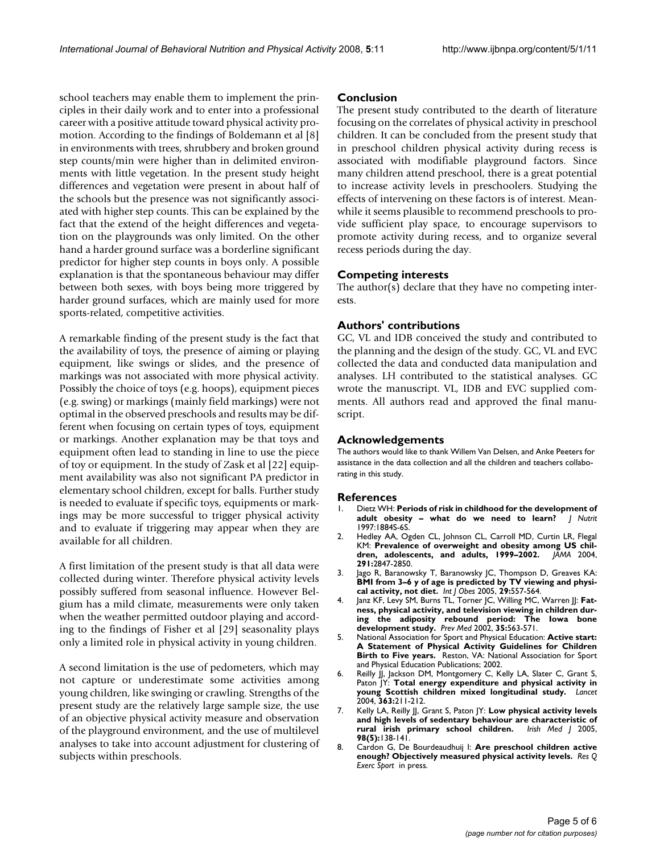school teachers may enable them to implement the principles in their daily work and to enter into a professional career with a positive attitude toward physical activity promotion. According to the findings of Boldemann et al [8] in environments with trees, shrubbery and broken ground step counts/min were higher than in delimited environments with little vegetation. In the present study height differences and vegetation were present in about half of the schools but the presence was not significantly associated with higher step counts. This can be explained by the fact that the extend of the height differences and vegetation on the playgrounds was only limited. On the other hand a harder ground surface was a borderline significant predictor for higher step counts in boys only. A possible explanation is that the spontaneous behaviour may differ between both sexes, with boys being more triggered by harder ground surfaces, which are mainly used for more sports-related, competitive activities.

A remarkable finding of the present study is the fact that the availability of toys, the presence of aiming or playing equipment, like swings or slides, and the presence of markings was not associated with more physical activity. Possibly the choice of toys (e.g. hoops), equipment pieces (e.g. swing) or markings (mainly field markings) were not optimal in the observed preschools and results may be different when focusing on certain types of toys, equipment or markings. Another explanation may be that toys and equipment often lead to standing in line to use the piece of toy or equipment. In the study of Zask et al [22] equipment availability was also not significant PA predictor in elementary school children, except for balls. Further study is needed to evaluate if specific toys, equipments or markings may be more successful to trigger physical activity and to evaluate if triggering may appear when they are available for all children.

A first limitation of the present study is that all data were collected during winter. Therefore physical activity levels possibly suffered from seasonal influence. However Belgium has a mild climate, measurements were only taken when the weather permitted outdoor playing and according to the findings of Fisher et al [29] seasonality plays only a limited role in physical activity in young children.

A second limitation is the use of pedometers, which may not capture or underestimate some activities among young children, like swinging or crawling. Strengths of the present study are the relatively large sample size, the use of an objective physical activity measure and observation of the playground environment, and the use of multilevel analyses to take into account adjustment for clustering of subjects within preschools.

### **Conclusion**

The present study contributed to the dearth of literature focusing on the correlates of physical activity in preschool children. It can be concluded from the present study that in preschool children physical activity during recess is associated with modifiable playground factors. Since many children attend preschool, there is a great potential to increase activity levels in preschoolers. Studying the effects of intervening on these factors is of interest. Meanwhile it seems plausible to recommend preschools to provide sufficient play space, to encourage supervisors to promote activity during recess, and to organize several recess periods during the day.

### **Competing interests**

The author( $\overline{s}$ ) declare that they have no competing interests.

# **Authors' contributions**

GC, VL and IDB conceived the study and contributed to the planning and the design of the study. GC, VL and EVC collected the data and conducted data manipulation and analyses. LH contributed to the statistical analyses. GC wrote the manuscript. VL, IDB and EVC supplied comments. All authors read and approved the final manuscript.

#### **Acknowledgements**

The authors would like to thank Willem Van Delsen, and Anke Peeters for assistance in the data collection and all the children and teachers collaborating in this study.

#### **References**

- 1. Dietz WH: **[Periods of risk in childhood for the development of](http://www.ncbi.nlm.nih.gov/entrez/query.fcgi?cmd=Retrieve&db=PubMed&dopt=Abstract&list_uids=9278575)** adult obesity - what do we need to learn? 1997:1884S-6S.
- 2. Hedley AA, Ogden CL, Johnson CL, Carroll MD, Curtin LR, Flegal KM: **[Prevalence of overweight and obesity among US chil](http://www.ncbi.nlm.nih.gov/entrez/query.fcgi?cmd=Retrieve&db=PubMed&dopt=Abstract&list_uids=15199035)[dren, adolescents, and adults, 1999–2002.](http://www.ncbi.nlm.nih.gov/entrez/query.fcgi?cmd=Retrieve&db=PubMed&dopt=Abstract&list_uids=15199035)** *JAMA* 2004, **291:**2847-2850.
- 3. Jago R, Baranowsky T, Baranowsky JC, Thompson D, Greaves KA: **BMI from 3–6 y of age is predicted by TV viewing and physical activity, not diet.** *Int J Obes* 2005, **29:**557-564.
- 4. Janz KF, Levy SM, Burns TL, Torner JC, Willing MC, Warren JJ: **[Fat](http://www.ncbi.nlm.nih.gov/entrez/query.fcgi?cmd=Retrieve&db=PubMed&dopt=Abstract&list_uids=12460524)[ness, physical activity, and television viewing in children dur](http://www.ncbi.nlm.nih.gov/entrez/query.fcgi?cmd=Retrieve&db=PubMed&dopt=Abstract&list_uids=12460524)ing the adiposity rebound period: The Iowa bone [development study.](http://www.ncbi.nlm.nih.gov/entrez/query.fcgi?cmd=Retrieve&db=PubMed&dopt=Abstract&list_uids=12460524)** *Prev Med* 2002, **35:**563-571.
- 5. National Association for Sport and Physical Education: **Active start: A Statement of Physical Activity Guidelines for Children Birth to Five years.** Reston, VA: National Association for Sport and Physical Education Publications; 2002.
- 6. Reilly JJ, Jackson DM, Montgomery C, Kelly LA, Slater C, Grant S, Paton JY: **[Total energy expenditure and physical activity in](http://www.ncbi.nlm.nih.gov/entrez/query.fcgi?cmd=Retrieve&db=PubMed&dopt=Abstract&list_uids=14738795) [young Scottish children mixed longitudinal study.](http://www.ncbi.nlm.nih.gov/entrez/query.fcgi?cmd=Retrieve&db=PubMed&dopt=Abstract&list_uids=14738795)** *Lancet* 2004, **363:**211-212.
- 7. Kelly LA, Reilly JJ, Grant S, Paton JY: **[Low physical activity levels](http://www.ncbi.nlm.nih.gov/entrez/query.fcgi?cmd=Retrieve&db=PubMed&dopt=Abstract&list_uids=16010780) [and high levels of sedentary behaviour are characteristic of](http://www.ncbi.nlm.nih.gov/entrez/query.fcgi?cmd=Retrieve&db=PubMed&dopt=Abstract&list_uids=16010780)** [rural irish primary school children.](http://www.ncbi.nlm.nih.gov/entrez/query.fcgi?cmd=Retrieve&db=PubMed&dopt=Abstract&list_uids=16010780) **98(5):**138-141.
- 8. Cardon G, De Bourdeaudhuij I: **[Are preschool children active](http://www.ncbi.nlm.nih.gov/entrez/query.fcgi?cmd=Retrieve&db=PubMed&dopt=Abstract&list_uids=18274215) [enough? Objectively measured physical activity levels.](http://www.ncbi.nlm.nih.gov/entrez/query.fcgi?cmd=Retrieve&db=PubMed&dopt=Abstract&list_uids=18274215)** *Res Q Exerc Sport* in press.